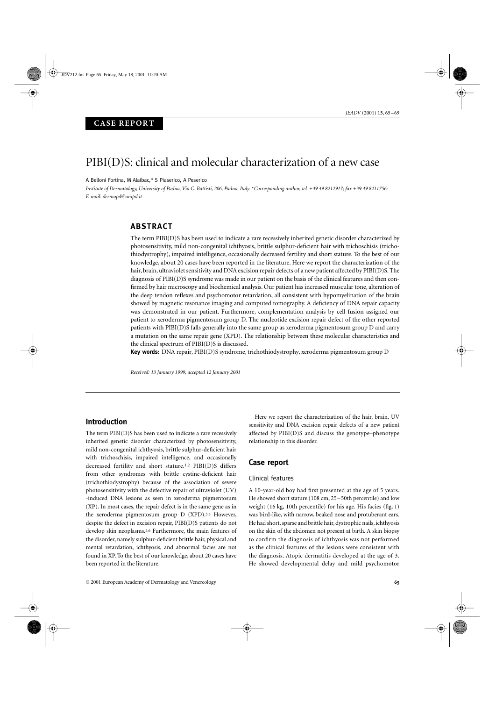## $PIBI(D)S: clinical and molecular characterization of a new case$

A Belloni Fortina, M Alaibac,*\** S Piaserico, A Peserico

*Institute of Dermatology, University of Padua, Via C. Battisti, 206, Padua, Italy.* \**Corresponding author, tel. +39 49 8212917; fax +39 49 8211756; E-mail: dermopd@unipd.it*

## **ABSTRACT**

The term PIBI(D)S has been used to indicate a rare recessively inherited genetic disorder characterized by photosensitivity, mild non-congenital ichthyosis, brittle sulphur-deficient hair with trichoschisis (trichothiodystrophy), impaired intelligence, occasionally decreased fertility and short stature. To the best of our knowledge, about 20 cases have been reported in the literature. Here we report the characterization of the hair, brain, ultraviolet sensitivity and DNA excision repair defects of a new patient affected by PIBI(D)S. The diagnosis of PIBI(D)S syndrome was made in our patient on the basis of the clinical features and then confirmed by hair microscopy and biochemical analysis. Our patient has increased muscular tone, alteration of the deep tendon reflexes and psychomotor retardation, all consistent with hypomyelination of the brain showed by magnetic resonance imaging and computed tomography. A deficiency of DNA repair capacity was demonstrated in our patient. Furthermore, complementation analysis by cell fusion assigned our patient to xeroderma pigmentosum group D. The nucleotide excision repair defect of the other reported patients with PIBI(D)S falls generally into the same group as xeroderma pigmentosum group D and carry a mutation on the same repair gene (XPD). The relationship between these molecular characteristics and the clinical spectrum of PIBI(D)S is discussed.

**Key words:** DNA repair, PIBI(D)S syndrome, trichothiodystrophy, xeroderma pigmentosum group D

*Received: 13 January 1999, accepted 12 January 2001*

## **Introduction**

The term PIBI(D)S has been used to indicate a rare recessively inherited genetic disorder characterized by photosensitivity, mild non-congenital ichthyosis, brittle sulphur-deficient hair with trichoschisis, impaired intelligence, and occasionally decreased fertility and short stature.1,2 PIBI(D)S differs from other syndromes with brittle cystine-deficient hair (trichothiodystrophy) because of the association of severe photosensitivity with the defective repair of ultraviolet (UV) -induced DNA lesions as seen in xeroderma pigmentosum (XP). In most cases, the repair defect is in the same gene as in the xeroderma pigmentosum group D (XPD).3,4 However, despite the defect in excision repair, PIBI(D)S patients do not develop skin neoplasms.5,6 Furthermore, the main features of the disorder, namely sulphur-deficient brittle hair, physical and mental retardation, ichthyosis, and abnormal facies are not found in XP. To the best of our knowledge, about 20 cases have been reported in the literature.

Here we report the characterization of the hair, brain, UV sensitivity and DNA excision repair defects of a new patient affected by PIBI(D)S and discuss the genotype–phenotype relationship in this disorder.

## **Case report**

#### Clinical features

A 10-year-old boy had first presented at the age of 5 years. He showed short stature (108 cm, 25–50th percentile) and low weight (16 kg, 10th percentile) for his age. His facies (fig. 1) was bird-like, with narrow, beaked nose and protuberant ears. He had short, sparse and brittle hair, dystrophic nails, ichthyosis on the skin of the abdomen not present at birth. A skin biopsy to confirm the diagnosis of ichthyosis was not performed as the clinical features of the lesions were consistent with the diagnosis. Atopic dermatitis developed at the age of 3. He showed developmental delay and mild psychomotor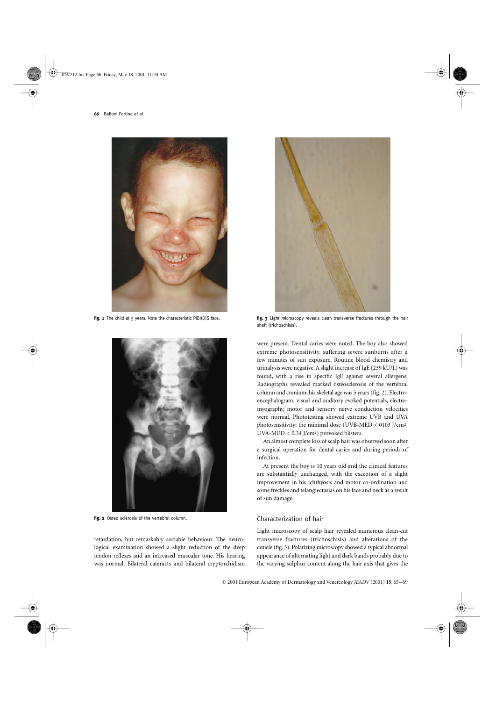

fig. 1 The child at 5 years. Note the characteristic PIBI(D)S face.



**fig. 2** Osteo sclerosis of the vertebral column.

retardation, but remarkably sociable behaviour. The neurological examination showed a slight reduction of the deep tendon reflexes and an increased muscular tone. His hearing was normal. Bilateral cataracts and bilateral cryptorchidism



**fig. 3** Light microscopy reveals clean transverse fractures through the hair shaft (trichoschisis).

were present. Dental caries were noted. The boy also showed extreme photosensitivity, suffering severe sunburns after a few minutes of sun exposure. Routine blood chemistry and urinalysis were negative. A slight increase of IgE (239 kU/L) was found, with a rise in specific IgE against several allergens. Radiographs revealed marked osteosclerosis of the vertebral column and cranium; his skeletal age was 5 years (fig. 2). Electroencephalogram, visual and auditory evoked potentials, electromyography, motor and sensory nerve conduction velocities were normal. Phototesting showed extreme UVB and UVA photosensitivity: the minimal dose (UVB-MED < 0103 J/cm2, UVA-MED < 0.34 J/cm2) provoked blisters.

An almost complete loss of scalp hair was observed soon after a surgical operation for dental caries and during periods of infection.

At present the boy is 10 years old and the clinical features are substantially unchanged, with the exception of a slight improvement in his ichthyosis and motor co-ordination and some freckles and telangiectasias on his face and neck as a result of sun damage.

## Characterization of hair

Light microscopy of scalp hair revealed numerous clean-cut transverse fractures (trichoschisis) and alterations of the cuticle (fig. 3). Polarizing microscopy showed a typical abnormal appearance of alternating light and dark bands probably due to the varying sulphur content along the hair axis that gives the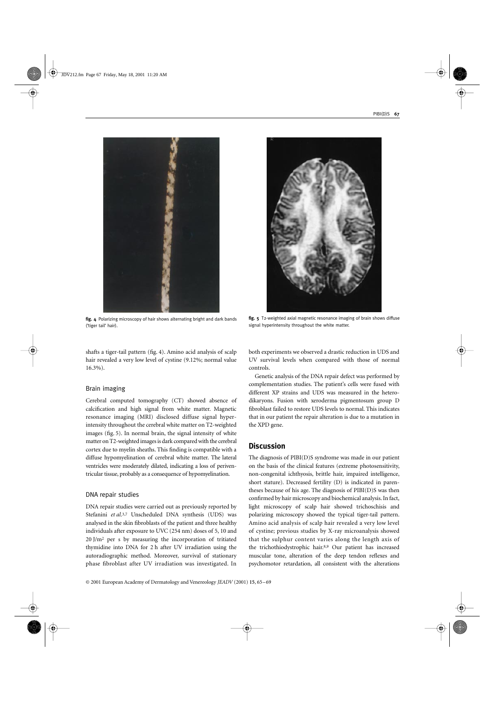

**fig. 4** Polarizing microscopy of hair shows alternating bright and dark bands ('tiger tail' hair).

shafts a tiger-tail pattern (fig. 4). Amino acid analysis of scalp hair revealed a very low level of cystine (9.12%; normal value 16.3%).

#### Brain imaging

Cerebral computed tomography (CT) showed absence of calcification and high signal from white matter. Magnetic resonance imaging (MRI) disclosed diffuse signal hyperintensity throughout the cerebral white matter on T2-weighted images (fig. 5). In normal brain, the signal intensity of white matter on T2-weighted images is dark compared with the cerebral cortex due to myelin sheaths. This finding is compatible with a diffuse hypomyelination of cerebral white matter. The lateral ventricles were moderately dilated, indicating a loss of periventricular tissue, probably as a consequence of hypomyelination.

#### DNA repair studies

DNA repair studies were carried out as previously reported by Stefanini et al.<sup>3,7</sup> Unscheduled DNA synthesis (UDS) was analysed in the skin fibroblasts of the patient and three healthy individuals after exposure to UVC (254 nm) doses of 5, 10 and 20 J/m2 per s by measuring the incorporation of tritiated thymidine into DNA for 2 h after UV irradiation using the autoradiographic method. Moreover, survival of stationary phase fibroblast after UV irradiation was investigated. In



**fig. 5** T2-weighted axial magnetic resonance imaging of brain shows diffuse signal hyperintensity throughout the white matter.

both experiments we observed a drastic reduction in UDS and UV survival levels when compared with those of normal controls.

Genetic analysis of the DNA repair defect was performed by complementation studies. The patient's cells were fused with different XP strains and UDS was measured in the heterodikaryons. Fusion with xeroderma pigmentosum group D fibroblast failed to restore UDS levels to normal. This indicates that in our patient the repair alteration is due to a mutation in the XPD gene.

## **Discussion**

The diagnosis of PIBI(D)S syndrome was made in our patient on the basis of the clinical features (extreme photosensitivity, non-congenital ichthyosis, brittle hair, impaired intelligence, short stature). Decreased fertility (D) is indicated in parentheses because of his age. The diagnosis of PIBI(D)S was then confirmed by hair microscopy and biochemical analysis. In fact, light microscopy of scalp hair showed trichoschisis and polarizing microscopy showed the typical tiger-tail pattern. Amino acid analysis of scalp hair revealed a very low level of cystine; previous studies by X-ray microanalysis showed that the sulphur content varies along the length axis of the trichothiodystrophic hair.8,9 Our patient has increased muscular tone, alteration of the deep tendon reflexes and psychomotor retardation, all consistent with the alterations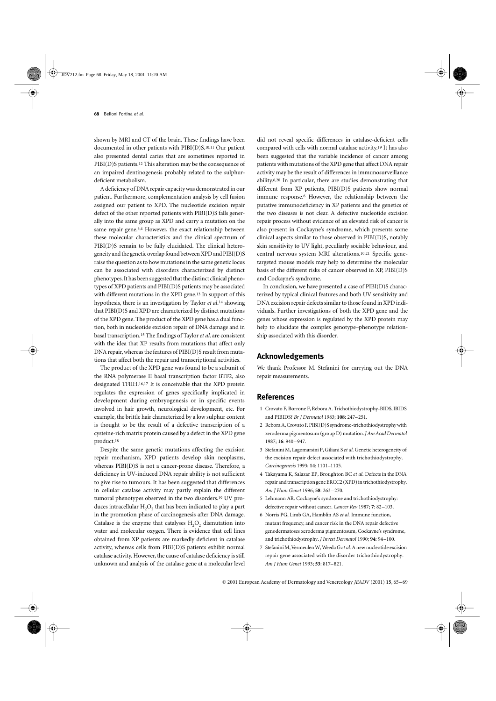shown by MRI and CT of the brain. These findings have been documented in other patients with PIBI(D)S.10,11 Our patient also presented dental caries that are sometimes reported in PIBI(D)S patients.12 This alteration may be the consequence of an impaired dentinogenesis probably related to the sulphurdeficient metabolism.

A deficiency of DNA repair capacity was demonstrated in our patient. Furthermore, complementation analysis by cell fusion assigned our patient to XPD. The nucleotide excision repair defect of the other reported patients with PIBI(D)S falls generally into the same group as XPD and carry a mutation on the same repair gene.<sup>3,4</sup> However, the exact relationship between these molecular characteristics and the clinical spectrum of PIBI(D)S remain to be fully elucidated. The clinical heterogeneity and the genetic overlap found between XPD and PIBI(D)S raise the question as to how mutations in the same genetic locus can be associated with disorders characterized by distinct phenotypes. It has been suggested that the distinct clinical phenotypes of XPD patients and PIBI(D)S patients may be associated with different mutations in the XPD gene.<sup>13</sup> In support of this hypothesis, there is an investigation by Taylor *et al*.14 showing that PIBI(D)S and XPD are characterized by distinct mutations of the XPD gene. The product of the XPD gene has a dual function, both in nucleotide excision repair of DNA damage and in basal transcription.15 The findings of Taylor *et al*. are consistent with the idea that XP results from mutations that affect only DNA repair, whereas the features of PIBI(D)S result from mutations that affect both the repair and transcriptional activities.

The product of the XPD gene was found to be a subunit of the RNA polymerase II basal transcription factor BTF2, also designated TFIIH.16,17 It is conceivable that the XPD protein regulates the expression of genes specifically implicated in development during embryogenesis or in specific events involved in hair growth, neurological development, etc. For example, the brittle hair characterized by a low sulphur content is thought to be the result of a defective transcription of a cysteine-rich matrix protein caused by a defect in the XPD gene product.18

Despite the same genetic mutations affecting the excision repair mechanism, XPD patients develop skin neoplasms, whereas PIBI(D)S is not a cancer-prone disease. Therefore, a deficiency in UV-induced DNA repair ability is not sufficient to give rise to tumours. It has been suggested that differences in cellular catalase activity may partly explain the different tumoral phenotypes observed in the two disorders.19 UV produces intracellular  $H_2O_2$  that has been indicated to play a part in the promotion phase of carcinogenesis after DNA damage. Catalase is the enzyme that catalyses  $H<sub>2</sub>O<sub>2</sub>$  dismutation into water and molecular oxygen. There is evidence that cell lines obtained from XP patients are markedly deficient in catalase activity, whereas cells from PIBI(D)S patients exhibit normal catalase activity. However, the cause of catalase deficiency is still unknown and analysis of the catalase gene at a molecular level

did not reveal specific differences in catalase-deficient cells compared with cells with normal catalase activity.19 It has also been suggested that the variable incidence of cancer among patients with mutations of the XPD gene that affect DNA repair activity may be the result of differences in immunosurveillance ability.6,20 In particular, there are studies demonstrating that different from XP patients, PIBI(D)S patients show normal immune response.6 However, the relationship between the putative immunodeficiency in XP patients and the genetics of the two diseases is not clear. A defective nucleotide excision repair process without evidence of an elevated risk of cancer is also present in Cockayne's syndrome, which presents some clinical aspects similar to those observed in PIBI(D)S, notably skin sensitivity to UV light, peculiarly sociable behaviour, and central nervous system MRI alterations.10,21 Specific genetargeted mouse models may help to determine the molecular basis of the different risks of cancer observed in XP, PIBI(D)S and Cockayne's syndrome.

In conclusion, we have presented a case of PIBI(D)S characterized by typical clinical features and both UV sensitivity and DNA excision repair defects similar to those found in XPD individuals. Further investigations of both the XPD gene and the genes whose expression is regulated by the XPD protein may help to elucidate the complex genotype–phenotype relationship associated with this disorder.

## **Acknowledgements**

We thank Professor M. Stefanini for carrying out the DNA repair measurements.

## **References**

- 1 Crovato F, Borrone F, Rebora A. Trichothiodystrophy-BIDS, IBIDS and PIBIDS? *Br J Dermatol* 1983; **108**: 247–251.
- 2 Rebora A, Crovato F. PIBI(D)S syndrome-trichothiodystrophy with xeroderma pigmentosum (group D) mutation. *J Am Acad Dermatol* 1987; **16**: 940–947.
- 3 Stefanini M, Lagomarsini P, Giliani S *et al.* Genetic heterogeneity of the excision repair defect associated with trichothiodystrophy. *Carcinogenesis* 1993; **14**: 1101–1105.
- 4 Takayama K, Salazar EP, Broughton BC *et al.* Defects in the DNA repair and transcription gene ERCC2 (XPD) in trichothiodystrophy. *Am J Hum Genet* 1996; **58**: 263–270.
- 5 Lehmann AR. Cockayne's syndrome and trichothiodystrophy: defective repair without cancer. *Cancer Rev* 1987; **7**: 82–103.
- 6 Norris PG, Limb GA, Hamblin AS *et al.* Immune function, mutant frequency, and cancer risk in the DNA repair defective genodermatoses xeroderma pigmentosum, Cockayne's syndrome, and trichothiodystrophy. *J Invest Dermatol* 1990; **94**: 94–100.
- 7 Stefanini M, Vermeulen W, Weeda G *et al.* A new nucleotide excision repair gene associated with the disorder trichothiodystrophy. *Am J Hum Genet* 1993; **53**: 817–821.